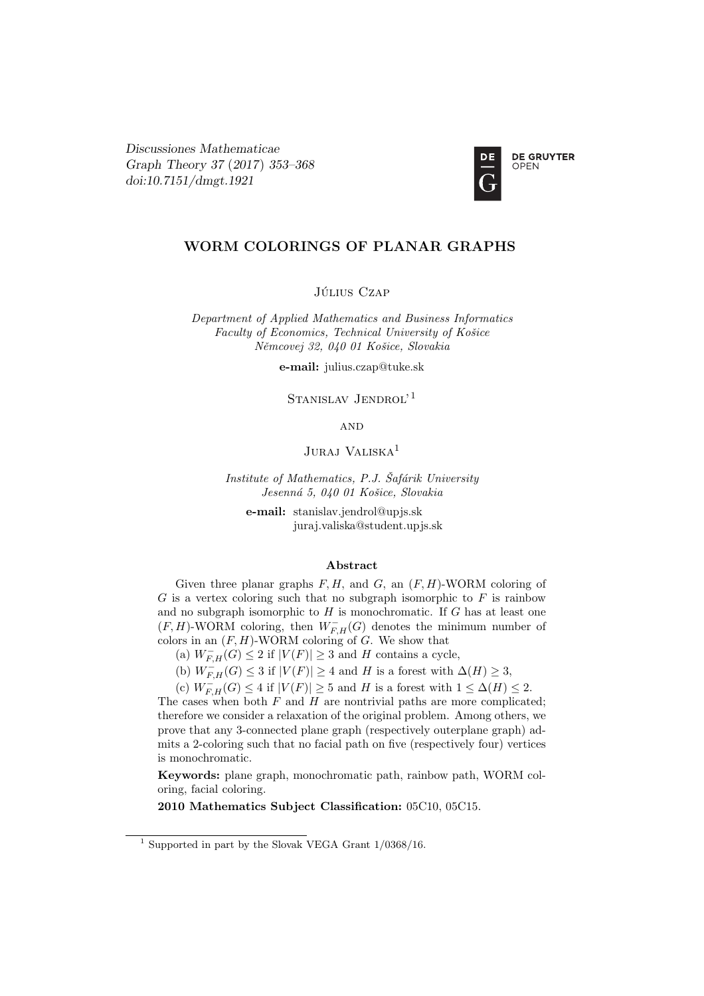Discussiones Mathematicae Graph Theory 37 (2017) 353–368 [doi:10.7151/dmgt.1921](http://dx.doi.org/10.7151/dmgt.1921)



# WORM COLORINGS OF PLANAR GRAPHS

JÚLIUS CZAP

Department of Applied Mathematics and Business Informatics Faculty of Economics, Technical University of Košice Němcovej 32, 040 01 Košice, Slovakia

e-mail: julius.czap@tuke.sk

STANISLAV JENDROL'<sup>1</sup>

**AND** 

JURAJ VALISKA<sup>1</sup>

Institute of Mathematics, P.J. Šafárik University Jesenná 5, 040 01 Košice, Slovakia

e-mail: stanislav.jendrol@upjs.sk juraj.valiska@student.upjs.sk

# Abstract

Given three planar graphs  $F, H$ , and  $G$ , an  $(F, H)$ -WORM coloring of  $G$  is a vertex coloring such that no subgraph isomorphic to  $F$  is rainbow and no subgraph isomorphic to  $H$  is monochromatic. If  $G$  has at least one  $(F, H)$ -WORM coloring, then  $W^-_{F,H}(G)$  denotes the minimum number of colors in an  $(F, H)$ -WORM coloring of G. We show that

(a)  $W_{F,H}^-(G) \leq 2$  if  $|V(F)| \geq 3$  and H contains a cycle,

(b)  $W_{F,H}^{-}(G) \leq 3$  if  $|V(F)| \geq 4$  and H is a forest with  $\Delta(H) \geq 3$ ,

(c)  $W_{F,H}^-(G) \leq 4$  if  $|V(F)| \geq 5$  and H is a forest with  $1 \leq \Delta(H) \leq 2$ .

The cases when both  $F$  and  $H$  are nontrivial paths are more complicated; therefore we consider a relaxation of the original problem. Among others, we prove that any 3-connected plane graph (respectively outerplane graph) admits a 2-coloring such that no facial path on five (respectively four) vertices is monochromatic.

Keywords: plane graph, monochromatic path, rainbow path, WORM coloring, facial coloring.

2010 Mathematics Subject Classification: 05C10, 05C15.

<sup>&</sup>lt;sup>1</sup> Supported in part by the Slovak VEGA Grant  $1/0368/16$ .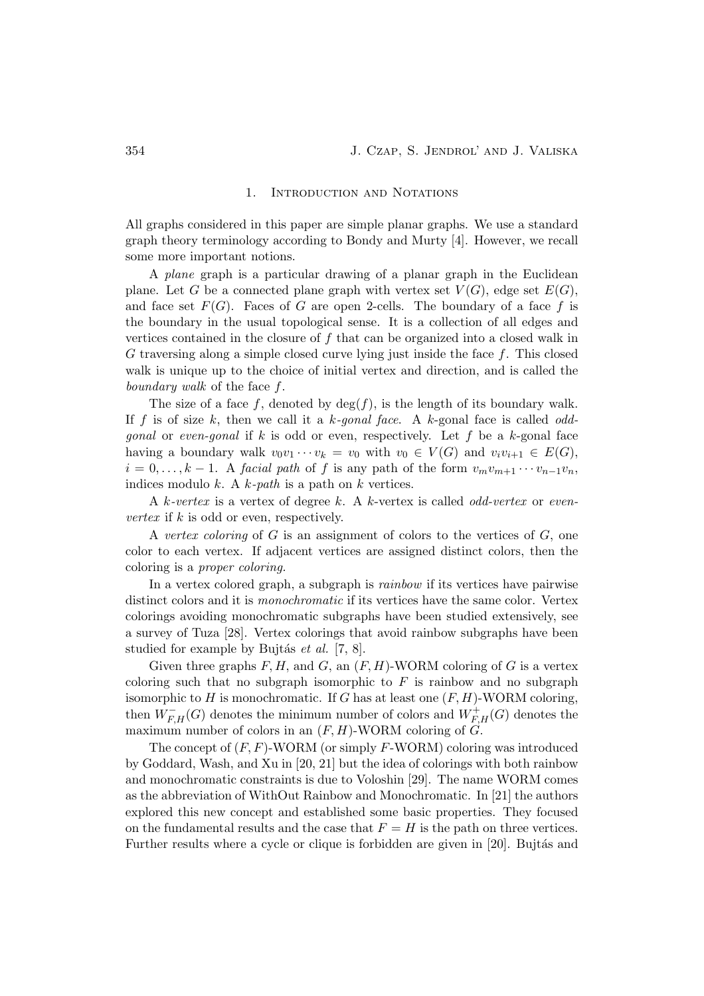# 1. INTRODUCTION AND NOTATIONS

All graphs considered in this paper are simple planar graphs. We use a standard graph theory terminology according to Bondy and Murty [4]. However, we recall some more important notions.

A plane graph is a particular drawing of a planar graph in the Euclidean plane. Let G be a connected plane graph with vertex set  $V(G)$ , edge set  $E(G)$ , and face set  $F(G)$ . Faces of G are open 2-cells. The boundary of a face f is the boundary in the usual topological sense. It is a collection of all edges and vertices contained in the closure of f that can be organized into a closed walk in G traversing along a simple closed curve lying just inside the face  $f$ . This closed walk is unique up to the choice of initial vertex and direction, and is called the boundary walk of the face f.

The size of a face f, denoted by  $\deg(f)$ , is the length of its boundary walk. If f is of size k, then we call it a k-gonal face. A k-gonal face is called odd*gonal* or *even-gonal* if k is odd or even, respectively. Let f be a k-gonal face having a boundary walk  $v_0v_1 \cdots v_k = v_0$  with  $v_0 \in V(G)$  and  $v_iv_{i+1} \in E(G)$ ,  $i = 0, \ldots, k - 1$ . A facial path of f is any path of the form  $v_m v_{m+1} \cdots v_{n-1} v_n$ , indices modulo  $k$ . A  $k$ -path is a path on  $k$  vertices.

A k-vertex is a vertex of degree k. A k-vertex is called odd-vertex or even*vertex* if  $k$  is odd or even, respectively.

A vertex coloring of  $G$  is an assignment of colors to the vertices of  $G$ , one color to each vertex. If adjacent vertices are assigned distinct colors, then the coloring is a proper coloring.

In a vertex colored graph, a subgraph is rainbow if its vertices have pairwise distinct colors and it is *monochromatic* if its vertices have the same color. Vertex colorings avoiding monochromatic subgraphs have been studied extensively, see a survey of Tuza [28]. Vertex colorings that avoid rainbow subgraphs have been studied for example by Bujtás et al.  $[7, 8]$ .

Given three graphs  $F, H$ , and  $G$ , an  $(F, H)$ -WORM coloring of  $G$  is a vertex coloring such that no subgraph isomorphic to  $F$  is rainbow and no subgraph isomorphic to H is monochromatic. If G has at least one  $(F, H)$ -WORM coloring, then  $\hat{W}_{F,H}^-(G)$  denotes the minimum number of colors and  $\hat{W}_{F,H}^+(G)$  denotes the maximum number of colors in an  $(F, H)$ -WORM coloring of  $G$ .

The concept of  $(F, F)$ -WORM (or simply  $F$ -WORM) coloring was introduced by Goddard, Wash, and Xu in [20, 21] but the idea of colorings with both rainbow and monochromatic constraints is due to Voloshin [29]. The name WORM comes as the abbreviation of WithOut Rainbow and Monochromatic. In [21] the authors explored this new concept and established some basic properties. They focused on the fundamental results and the case that  $F = H$  is the path on three vertices. Further results where a cycle or clique is forbidden are given in [20]. Bujtás and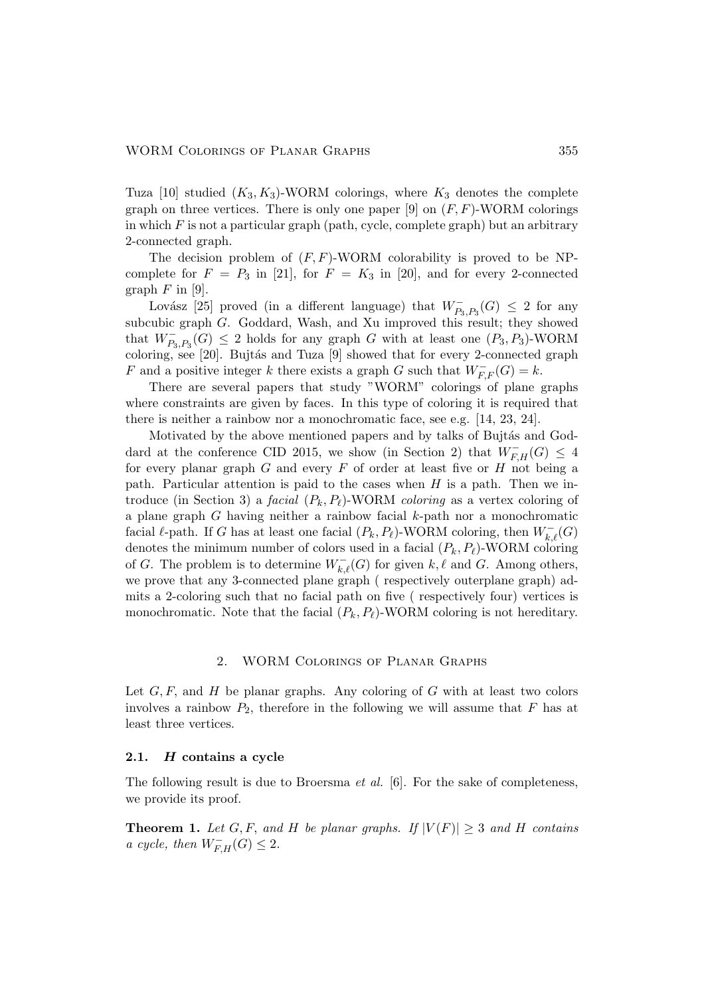Tuza [10] studied  $(K_3, K_3)$ -WORM colorings, where  $K_3$  denotes the complete graph on three vertices. There is only one paper [9] on  $(F, F)$ -WORM colorings in which  $F$  is not a particular graph (path, cycle, complete graph) but an arbitrary 2-connected graph.

The decision problem of  $(F, F)$ -WORM colorability is proved to be NPcomplete for  $F = P_3$  in [21], for  $F = K_3$  in [20], and for every 2-connected graph  $F$  in [9].

Lovász [25] proved (in a different language) that  $W_{P_3,P_3}^-(G) \leq 2$  for any subcubic graph G. Goddard, Wash, and Xu improved this result; they showed that  $W_{P_3, P_3}^-(G) \leq 2$  holds for any graph G with at least one  $(P_3, P_3)$ -WORM coloring, see  $[20]$ . Bujtás and Tuza  $[9]$  showed that for every 2-connected graph F and a positive integer k there exists a graph G such that  $W^-_{F,F}(G) = k$ .

There are several papers that study "WORM" colorings of plane graphs where constraints are given by faces. In this type of coloring it is required that there is neither a rainbow nor a monochromatic face, see e.g. [14, 23, 24].

Motivated by the above mentioned papers and by talks of Bujtás and Goddard at the conference CID 2015, we show (in Section 2) that  $W^-_{F,H}(G) \leq 4$ for every planar graph  $G$  and every  $F$  of order at least five or  $H$  not being a path. Particular attention is paid to the cases when  $H$  is a path. Then we introduce (in Section 3) a *facial*  $(P_k, P_\ell)$ -WORM *coloring* as a vertex coloring of a plane graph  $G$  having neither a rainbow facial  $k$ -path nor a monochromatic facial  $\ell$ -path. If G has at least one facial  $(P_k, P_\ell)$ -WORM coloring, then  $W_{k,\ell}^-(G)$ denotes the minimum number of colors used in a facial  $(P_k, P_\ell)$ -WORM coloring of G. The problem is to determine  $W_{k,\ell}^-(G)$  for given  $k,\ell$  and G. Among others, we prove that any 3-connected plane graph ( respectively outerplane graph) admits a 2-coloring such that no facial path on five ( respectively four) vertices is monochromatic. Note that the facial  $(P_k, P_\ell)$ -WORM coloring is not hereditary.

# 2. WORM Colorings of Planar Graphs

Let  $G, F$ , and H be planar graphs. Any coloring of G with at least two colors involves a rainbow  $P_2$ , therefore in the following we will assume that F has at least three vertices.

# 2.1. H contains a cycle

The following result is due to Broersma et al. [6]. For the sake of completeness, we provide its proof.

**Theorem 1.** Let G, F, and H be planar graphs. If  $|V(F)| \geq 3$  and H contains a cycle, then  $W_{F,H}^-(G) \leq 2$ .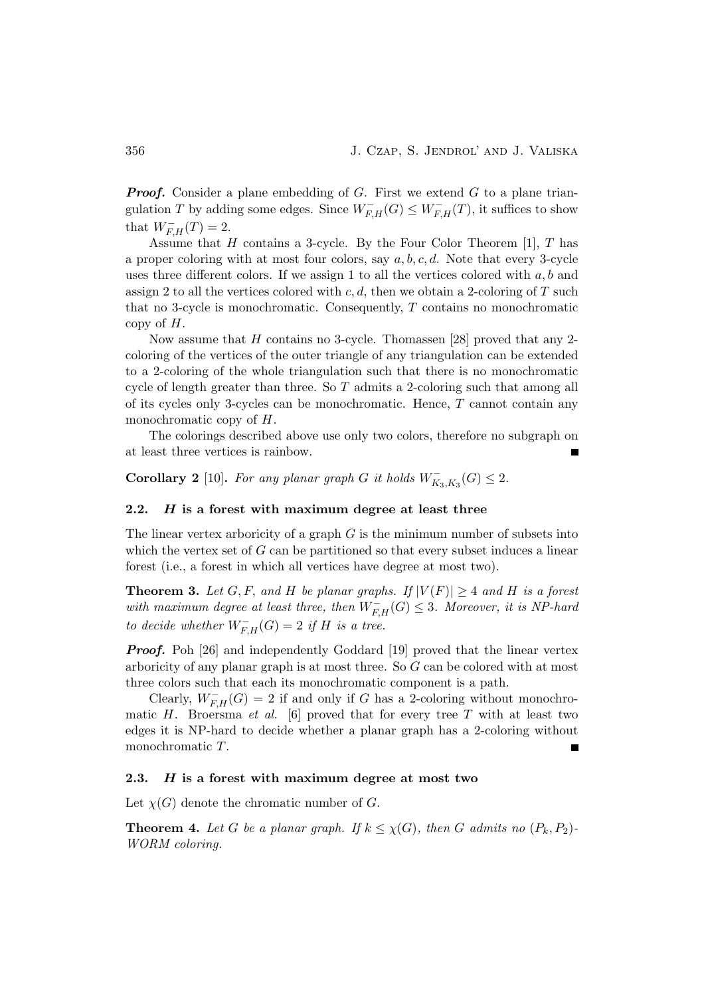**Proof.** Consider a plane embedding of G. First we extend G to a plane triangulation T by adding some edges. Since  $W^-_{F,H}(G) \leq W^-_{F,H}(T)$ , it suffices to show that  $W_{F,H}^{-}(T) = 2$ .

Assume that  $H$  contains a 3-cycle. By the Four Color Theorem [1],  $T$  has a proper coloring with at most four colors, say  $a, b, c, d$ . Note that every 3-cycle uses three different colors. If we assign 1 to all the vertices colored with  $a, b$  and assign 2 to all the vertices colored with  $c, d$ , then we obtain a 2-coloring of T such that no 3-cycle is monochromatic. Consequently, T contains no monochromatic copy of  $H$ .

Now assume that  $H$  contains no 3-cycle. Thomassen [28] proved that any 2coloring of the vertices of the outer triangle of any triangulation can be extended to a 2-coloring of the whole triangulation such that there is no monochromatic cycle of length greater than three. So  $T$  admits a 2-coloring such that among all of its cycles only 3-cycles can be monochromatic. Hence,  $T$  cannot contain any monochromatic copy of H.

The colorings described above use only two colors, therefore no subgraph on at least three vertices is rainbow.

Corollary 2 [10]. For any planar graph G it holds  $W_{K_3,K_3}^-(G) \leq 2$ .

# 2.2.  $H$  is a forest with maximum degree at least three

The linear vertex arboricity of a graph  $G$  is the minimum number of subsets into which the vertex set of  $G$  can be partitioned so that every subset induces a linear forest (i.e., a forest in which all vertices have degree at most two).

**Theorem 3.** Let G, F, and H be planar graphs. If  $|V(F)| \geq 4$  and H is a forest with maximum degree at least three, then  $W_{F,H}^{-}(G) \leq 3$ . Moreover, it is NP-hard to decide whether  $W^-_{F,H}(G) = 2$  if H is a tree.

**Proof.** Poh [26] and independently Goddard [19] proved that the linear vertex arboricity of any planar graph is at most three. So G can be colored with at most three colors such that each its monochromatic component is a path.

Clearly,  $W_{F,H}^-(G) = 2$  if and only if G has a 2-coloring without monochromatic H. Broersma et al. [6] proved that for every tree T with at least two edges it is NP-hard to decide whether a planar graph has a 2-coloring without monochromatic T.

#### 2.3.  $H$  is a forest with maximum degree at most two

Let  $\chi(G)$  denote the chromatic number of G.

**Theorem 4.** Let G be a planar graph. If  $k \leq \chi(G)$ , then G admits no  $(P_k, P_2)$ -WORM coloring.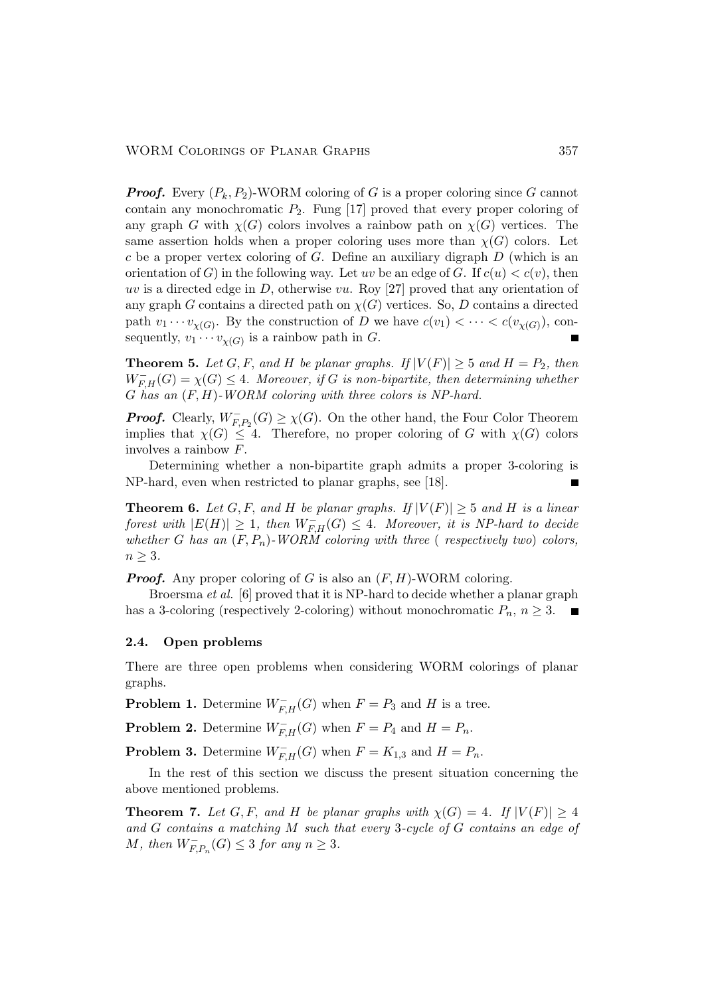**Proof.** Every  $(P_k, P_2)$ -WORM coloring of G is a proper coloring since G cannot contain any monochromatic  $P_2$ . Fung [17] proved that every proper coloring of any graph G with  $\chi(G)$  colors involves a rainbow path on  $\chi(G)$  vertices. The same assertion holds when a proper coloring uses more than  $\chi(G)$  colors. Let  $c$  be a proper vertex coloring of  $G$ . Define an auxiliary digraph  $D$  (which is an orientation of G) in the following way. Let uv be an edge of G. If  $c(u) < c(v)$ , then uv is a directed edge in  $D$ , otherwise vu. Roy [27] proved that any orientation of any graph G contains a directed path on  $\chi(G)$  vertices. So, D contains a directed path  $v_1 \cdots v_{\chi(G)}$ . By the construction of D we have  $c(v_1) < \cdots < c(v_{\chi(G)})$ , consequently,  $v_1 \cdots v_{\chi(G)}$  is a rainbow path in G.

**Theorem 5.** Let G, F, and H be planar graphs. If  $|V(F)| \geq 5$  and  $H = P_2$ , then  $W_{F,H}^-(G) = \chi(G) \leq 4$ . Moreover, if G is non-bipartite, then determining whether  $G$  has an  $(F, H)$ -WORM coloring with three colors is NP-hard.

**Proof.** Clearly,  $W_{F,P_2}^-(G) \ge \chi(G)$ . On the other hand, the Four Color Theorem implies that  $\chi(G) \leq 4$ . Therefore, no proper coloring of G with  $\chi(G)$  colors involves a rainbow F.

Determining whether a non-bipartite graph admits a proper 3-coloring is NP-hard, even when restricted to planar graphs, see [18].

**Theorem 6.** Let G, F, and H be planar graphs. If  $|V(F)| \geq 5$  and H is a linear forest with  $|E(H)| \geq 1$ , then  $W_{F,H}^{-}(G) \leq 4$ . Moreover, it is NP-hard to decide whether G has an  $(F, P_n)$ -WORM coloring with three (respectively two) colors,  $n \geq 3$ .

**Proof.** Any proper coloring of G is also an  $(F, H)$ -WORM coloring.

Broersma et al. [6] proved that it is NP-hard to decide whether a planar graph has a 3-coloring (respectively 2-coloring) without monochromatic  $P_n$ ,  $n \geq 3$ .

### 2.4. Open problems

There are three open problems when considering WORM colorings of planar graphs.

**Problem 1.** Determine  $W_{F,H}^-(G)$  when  $F = P_3$  and H is a tree.

**Problem 2.** Determine  $W_{F,H}^-(G)$  when  $F = P_4$  and  $H = P_n$ .

**Problem 3.** Determine  $W_{F,H}^-(G)$  when  $F = K_{1,3}$  and  $H = P_n$ .

In the rest of this section we discuss the present situation concerning the above mentioned problems.

**Theorem 7.** Let G, F, and H be planar graphs with  $\chi(G) = 4$ . If  $|V(F)| \geq 4$ and G contains a matching M such that every 3-cycle of G contains an edge of M, then  $W_{F,P_n}^-(G) \leq 3$  for any  $n \geq 3$ .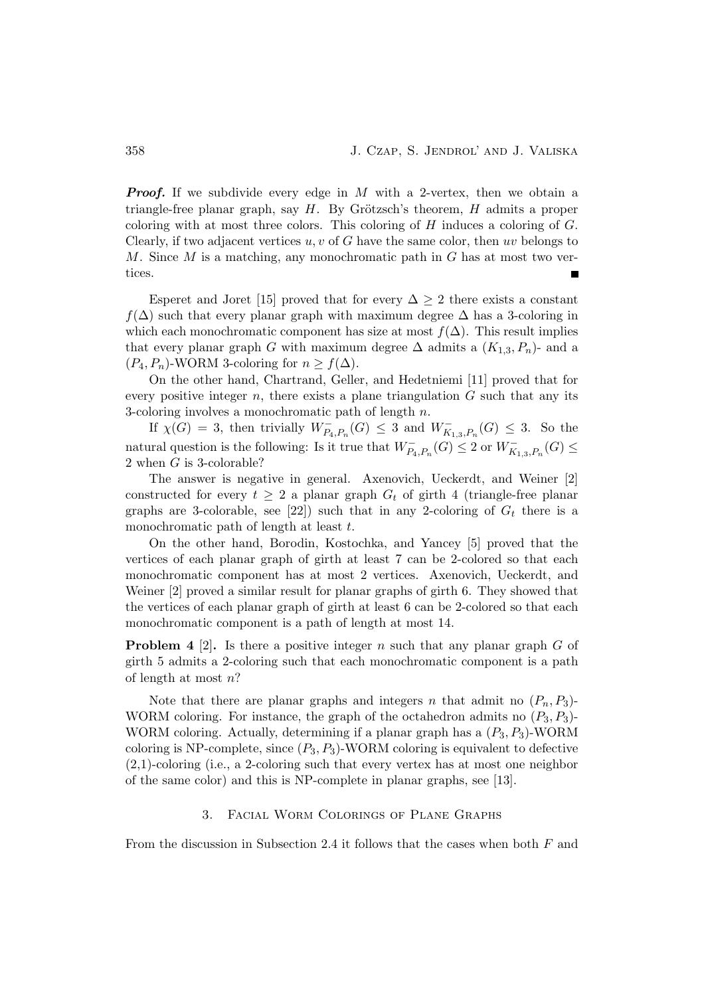**Proof.** If we subdivide every edge in  $M$  with a 2-vertex, then we obtain a triangle-free planar graph, say  $H$ . By Grötzsch's theorem,  $H$  admits a proper coloring with at most three colors. This coloring of  $H$  induces a coloring of  $G$ . Clearly, if two adjacent vertices  $u, v$  of G have the same color, then uv belongs to M. Since M is a matching, any monochromatic path in  $G$  has at most two vertices.

Esperet and Joret [15] proved that for every  $\Delta \geq 2$  there exists a constant  $f(\Delta)$  such that every planar graph with maximum degree  $\Delta$  has a 3-coloring in which each monochromatic component has size at most  $f(\Delta)$ . This result implies that every planar graph G with maximum degree  $\Delta$  admits a  $(K_{1,3}, P_n)$ - and a  $(P_4, P_n)$ -WORM 3-coloring for  $n \ge f(\Delta)$ .

On the other hand, Chartrand, Geller, and Hedetniemi [11] proved that for every positive integer  $n$ , there exists a plane triangulation  $G$  such that any its 3-coloring involves a monochromatic path of length n.

If  $\chi(G) = 3$ , then trivially  $W_{P_4, P_n}^{-}(G) \leq 3$  and  $W_{K_{1,3}, P_n}^{-}(G) \leq 3$ . So the natural question is the following: Is it true that  $W_{P_4,P_n}^-(G) \leq 2$  or  $W_{K_{1,3},P_n}^-(G) \leq$ 2 when G is 3-colorable?

The answer is negative in general. Axenovich, Ueckerdt, and Weiner [2] constructed for every  $t \geq 2$  a planar graph  $G_t$  of girth 4 (triangle-free planar graphs are 3-colorable, see [22]) such that in any 2-coloring of  $G_t$  there is a monochromatic path of length at least t.

On the other hand, Borodin, Kostochka, and Yancey [5] proved that the vertices of each planar graph of girth at least 7 can be 2-colored so that each monochromatic component has at most 2 vertices. Axenovich, Ueckerdt, and Weiner [2] proved a similar result for planar graphs of girth 6. They showed that the vertices of each planar graph of girth at least 6 can be 2-colored so that each monochromatic component is a path of length at most 14.

**Problem 4** [2]. Is there a positive integer n such that any planar graph G of girth 5 admits a 2-coloring such that each monochromatic component is a path of length at most n?

Note that there are planar graphs and integers n that admit no  $(P_n, P_3)$ -WORM coloring. For instance, the graph of the octahedron admits no  $(P_3, P_3)$ -WORM coloring. Actually, determining if a planar graph has a  $(P_3, P_3)$ -WORM coloring is NP-complete, since  $(P_3, P_3)$ -WORM coloring is equivalent to defective  $(2,1)$ -coloring (i.e., a 2-coloring such that every vertex has at most one neighbor of the same color) and this is NP-complete in planar graphs, see [13].

### 3. Facial Worm Colorings of Plane Graphs

From the discussion in Subsection 2.4 it follows that the cases when both  $F$  and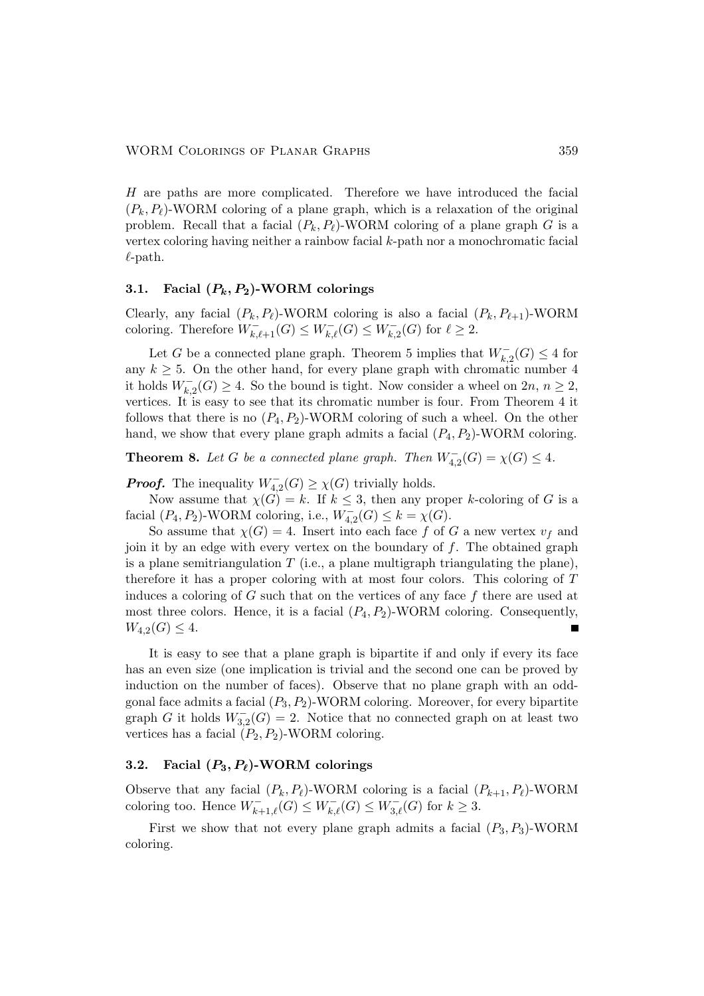H are paths are more complicated. Therefore we have introduced the facial  $(P_k, P_\ell)$ -WORM coloring of a plane graph, which is a relaxation of the original problem. Recall that a facial  $(P_k, P_\ell)$ -WORM coloring of a plane graph G is a vertex coloring having neither a rainbow facial k-path nor a monochromatic facial  $\ell$ -path.

# 3.1. Facial  $(P_k, P_2)$ -WORM colorings

Clearly, any facial  $(P_k, P_\ell)$ -WORM coloring is also a facial  $(P_k, P_{\ell+1})$ -WORM coloring. Therefore  $W_{k,\ell+1}^{-}(G) \leq W_{k,\ell}^{-}(G) \leq W_{k,2}^{-}(G)$  for  $\ell \geq 2$ .

Let G be a connected plane graph. Theorem 5 implies that  $W_{k,2}^-(G) \leq 4$  for any  $k \geq 5$ . On the other hand, for every plane graph with chromatic number 4 it holds  $W_{k,2}^{-}(G) \geq 4$ . So the bound is tight. Now consider a wheel on  $2n, n \geq 2$ , vertices. It is easy to see that its chromatic number is four. From Theorem 4 it follows that there is no  $(P_4, P_2)$ -WORM coloring of such a wheel. On the other hand, we show that every plane graph admits a facial  $(P_4, P_2)$ -WORM coloring.

**Theorem 8.** Let G be a connected plane graph. Then  $W_{4,2}^-(G) = \chi(G) \leq 4$ .

**Proof.** The inequality  $W_{4,2}^-(G) \ge \chi(G)$  trivially holds.

Now assume that  $\chi(G) = k$ . If  $k \leq 3$ , then any proper k-coloring of G is a facial  $(P_4, P_2)$ -WORM coloring, i.e.,  $W_{4,2}^-(G) \leq k = \chi(G)$ .

So assume that  $\chi(G) = 4$ . Insert into each face f of G a new vertex  $v_f$  and join it by an edge with every vertex on the boundary of  $f$ . The obtained graph is a plane semitriangulation  $T$  (i.e., a plane multigraph triangulating the plane), therefore it has a proper coloring with at most four colors. This coloring of T induces a coloring of  $G$  such that on the vertices of any face  $f$  there are used at most three colors. Hence, it is a facial  $(P_4, P_2)$ -WORM coloring. Consequently,  $W_{4,2}(G) \leq 4.$ 

It is easy to see that a plane graph is bipartite if and only if every its face has an even size (one implication is trivial and the second one can be proved by induction on the number of faces). Observe that no plane graph with an oddgonal face admits a facial  $(P_3, P_2)$ -WORM coloring. Moreover, for every bipartite graph G it holds  $W_{3,2}^-(G) = 2$ . Notice that no connected graph on at least two vertices has a facial  $(P_2, P_2)$ -WORM coloring.

# 3.2. Facial  $(P_3, P_\ell)$ -WORM colorings

Observe that any facial  $(P_k, P_\ell)$ -WORM coloring is a facial  $(P_{k+1}, P_\ell)$ -WORM coloring too. Hence  $W_{k+1,\ell}^-(G) \leq W_{k,\ell}^-(G) \leq W_{3,\ell}^-(G)$  for  $k \geq 3$ .

First we show that not every plane graph admits a facial  $(P_3, P_3)$ -WORM coloring.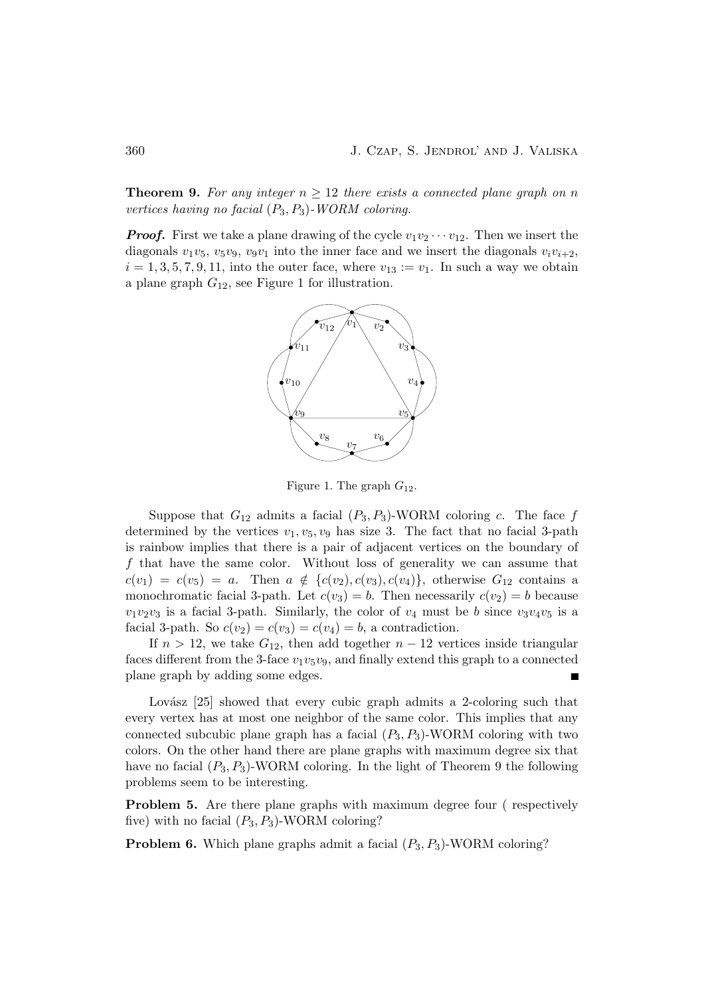**Theorem 9.** For any integer  $n > 12$  there exists a connected plane graph on n vertices having no facial  $(P_3, P_3)$ -WORM coloring.

**Proof.** First we take a plane drawing of the cycle  $v_1v_2 \cdots v_{12}$ . Then we insert the diagonals  $v_1v_5$ ,  $v_5v_9$ ,  $v_9v_1$  into the inner face and we insert the diagonals  $v_iv_{i+2}$ ,  $i = 1, 3, 5, 7, 9, 11$ , into the outer face, where  $v_{13} := v_1$ . In such a way we obtain a plane graph  $G_{12}$ , see Figure 1 for illustration.



Figure 1. The graph  $G_{12}$ .

Suppose that  $G_{12}$  admits a facial  $(P_3, P_3)$ -WORM coloring c. The face f determined by the vertices  $v_1, v_5, v_9$  has size 3. The fact that no facial 3-path is rainbow implies that there is a pair of adjacent vertices on the boundary of f that have the same color. Without loss of generality we can assume that  $c(v_1) = c(v_5) = a$ . Then  $a \notin \{c(v_2), c(v_3), c(v_4)\}\$ , otherwise  $G_{12}$  contains a monochromatic facial 3-path. Let  $c(v_3) = b$ . Then necessarily  $c(v_2) = b$  because  $v_1v_2v_3$  is a facial 3-path. Similarly, the color of  $v_4$  must be b since  $v_3v_4v_5$  is a facial 3-path. So  $c(v_2) = c(v_3) = c(v_4) = b$ , a contradiction.

If  $n > 12$ , we take  $G_{12}$ , then add together  $n - 12$  vertices inside triangular faces different from the 3-face  $v_1v_5v_9$ , and finally extend this graph to a connected plane graph by adding some edges.

Lovász  $[25]$  showed that every cubic graph admits a 2-coloring such that every vertex has at most one neighbor of the same color. This implies that any connected subcubic plane graph has a facial  $(P_3, P_3)$ -WORM coloring with two colors. On the other hand there are plane graphs with maximum degree six that have no facial  $(P_3, P_3)$ -WORM coloring. In the light of Theorem 9 the following problems seem to be interesting.

Problem 5. Are there plane graphs with maximum degree four ( respectively five) with no facial  $(P_3, P_3)$ -WORM coloring?

**Problem 6.** Which plane graphs admit a facial  $(P_3, P_3)$ -WORM coloring?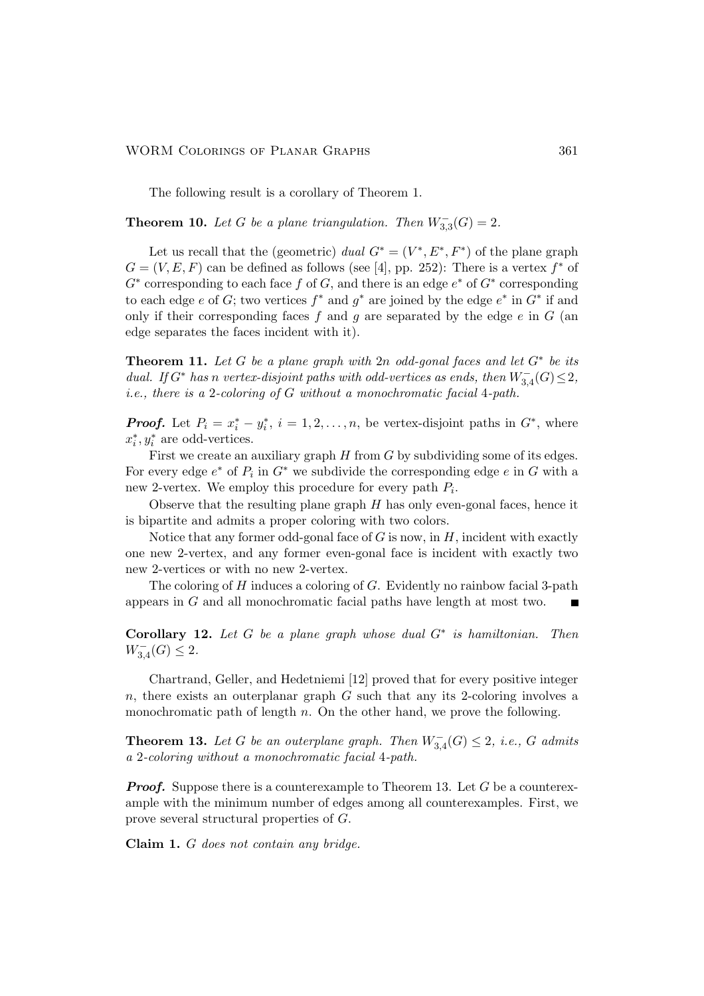The following result is a corollary of Theorem 1.

**Theorem 10.** Let G be a plane triangulation. Then  $W_{3,3}^-(G) = 2$ .

Let us recall that the (geometric) dual  $G^* = (V^*, E^*, F^*)$  of the plane graph  $G = (V, E, F)$  can be defined as follows (see [4], pp. 252): There is a vertex  $f^*$  of  $G^*$  corresponding to each face f of G, and there is an edge  $e^*$  of  $G^*$  corresponding to each edge e of G; two vertices  $f^*$  and  $g^*$  are joined by the edge  $e^*$  in  $G^*$  if and only if their corresponding faces  $f$  and  $g$  are separated by the edge  $e$  in  $G$  (an edge separates the faces incident with it).

**Theorem 11.** Let G be a plane graph with  $2n$  odd-gonal faces and let  $G^*$  be its dual. If  $G^*$  has n vertex-disjoint paths with odd-vertices as ends, then  $W_{3,4}^-(G) \leq 2$ , i.e., there is a 2-coloring of G without a monochromatic facial 4-path.

**Proof.** Let  $P_i = x_i^* - y_i^*$  $i, i = 1, 2, \ldots, n$ , be vertex-disjoint paths in  $G^*$ , where  $x_i^*$  $i, y_i^*$  are odd-vertices.

First we create an auxiliary graph  $H$  from  $G$  by subdividing some of its edges. For every edge  $e^*$  of  $P_i$  in  $G^*$  we subdivide the corresponding edge  $e$  in  $G$  with a new 2-vertex. We employ this procedure for every path  $P_i$ .

Observe that the resulting plane graph  $H$  has only even-gonal faces, hence it is bipartite and admits a proper coloring with two colors.

Notice that any former odd-gonal face of  $G$  is now, in  $H$ , incident with exactly one new 2-vertex, and any former even-gonal face is incident with exactly two new 2-vertices or with no new 2-vertex.

The coloring of  $H$  induces a coloring of  $G$ . Evidently no rainbow facial 3-path appears in G and all monochromatic facial paths have length at most two.

Corollary 12. Let  $G$  be a plane graph whose dual  $G^*$  is hamiltonian. Then  $W_{3,4}^-(G) \leq 2.$ 

Chartrand, Geller, and Hedetniemi [12] proved that for every positive integer  $n$ , there exists an outerplanar graph  $G$  such that any its 2-coloring involves a monochromatic path of length  $n$ . On the other hand, we prove the following.

**Theorem 13.** Let G be an outerplane graph. Then  $W_{3,4}^-(G) \leq 2$ , i.e., G admits a 2-coloring without a monochromatic facial 4-path.

**Proof.** Suppose there is a counterexample to Theorem 13. Let G be a counterexample with the minimum number of edges among all counterexamples. First, we prove several structural properties of G.

Claim 1. G does not contain any bridge.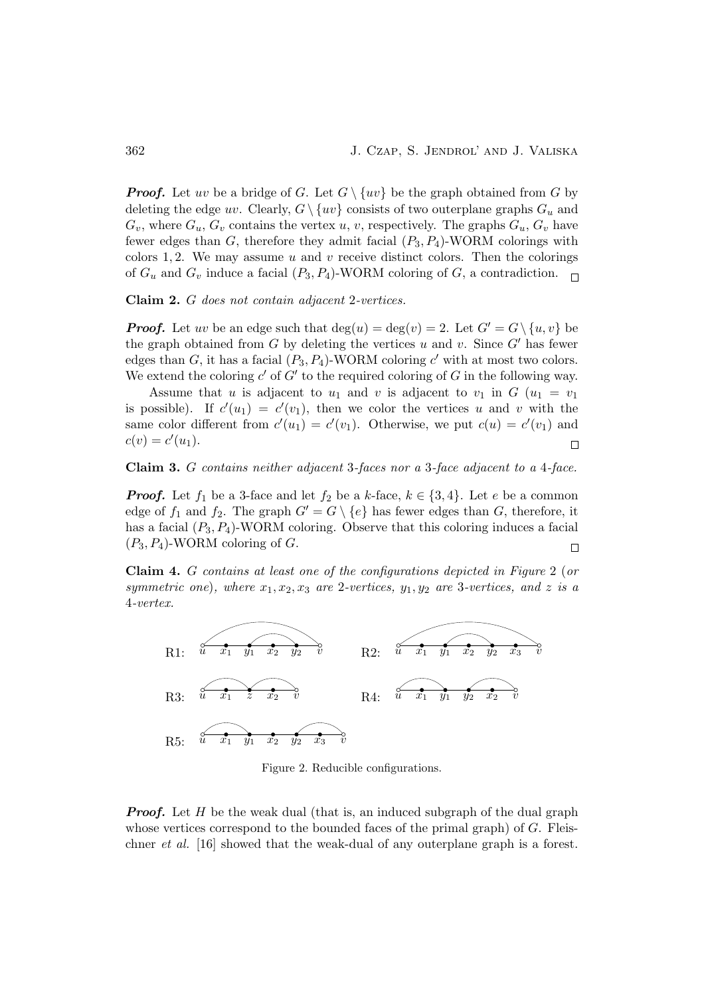**Proof.** Let uv be a bridge of G. Let  $G \setminus \{uv\}$  be the graph obtained from G by deleting the edge uv. Clearly,  $G \setminus \{uv\}$  consists of two outerplane graphs  $G_u$  and  $G_v$ , where  $G_u, G_v$  contains the vertex u, v, respectively. The graphs  $G_u, G_v$  have fewer edges than G, therefore they admit facial  $(P_3, P_4)$ -WORM colorings with colors 1, 2. We may assume u and v receive distinct colors. Then the colorings of  $G_u$  and  $G_v$  induce a facial  $(P_3, P_4)$ -WORM coloring of G, a contradiction.

Claim 2. G does not contain adjacent 2-vertices.

**Proof.** Let uv be an edge such that  $deg(u) = deg(v) = 2$ . Let  $G' = G \setminus \{u, v\}$  be the graph obtained from G by deleting the vertices u and v. Since  $G'$  has fewer edges than G, it has a facial  $(P_3, P_4)$ -WORM coloring c' with at most two colors. We extend the coloring  $c'$  of  $G'$  to the required coloring of G in the following way.

Assume that u is adjacent to  $u_1$  and v is adjacent to  $v_1$  in  $G$   $(u_1 = v_1)$ is possible). If  $c'(u_1) = c'(v_1)$ , then we color the vertices u and v with the same color different from  $c'(u_1) = c'(v_1)$ . Otherwise, we put  $c(u) = c'(v_1)$  and  $c(v) = c'(u_1).$  $\Box$ 

### Claim 3. G contains neither adjacent 3-faces nor a 3-face adjacent to a 4-face.

**Proof.** Let  $f_1$  be a 3-face and let  $f_2$  be a k-face,  $k \in \{3, 4\}$ . Let e be a common edge of  $f_1$  and  $f_2$ . The graph  $G' = G \setminus \{e\}$  has fewer edges than G, therefore, it has a facial  $(P_3, P_4)$ -WORM coloring. Observe that this coloring induces a facial  $(P_3, P_4)$ -WORM coloring of G.  $\Box$ 

Claim 4. G contains at least one of the configurations depicted in Figure 2 (or symmetric one), where  $x_1, x_2, x_3$  are 2-vertices,  $y_1, y_2$  are 3-vertices, and z is a 4-vertex.



Figure 2. Reducible configurations.

**Proof.** Let  $H$  be the weak dual (that is, an induced subgraph of the dual graph whose vertices correspond to the bounded faces of the primal graph) of  $G$ . Fleischner et al. [16] showed that the weak-dual of any outerplane graph is a forest.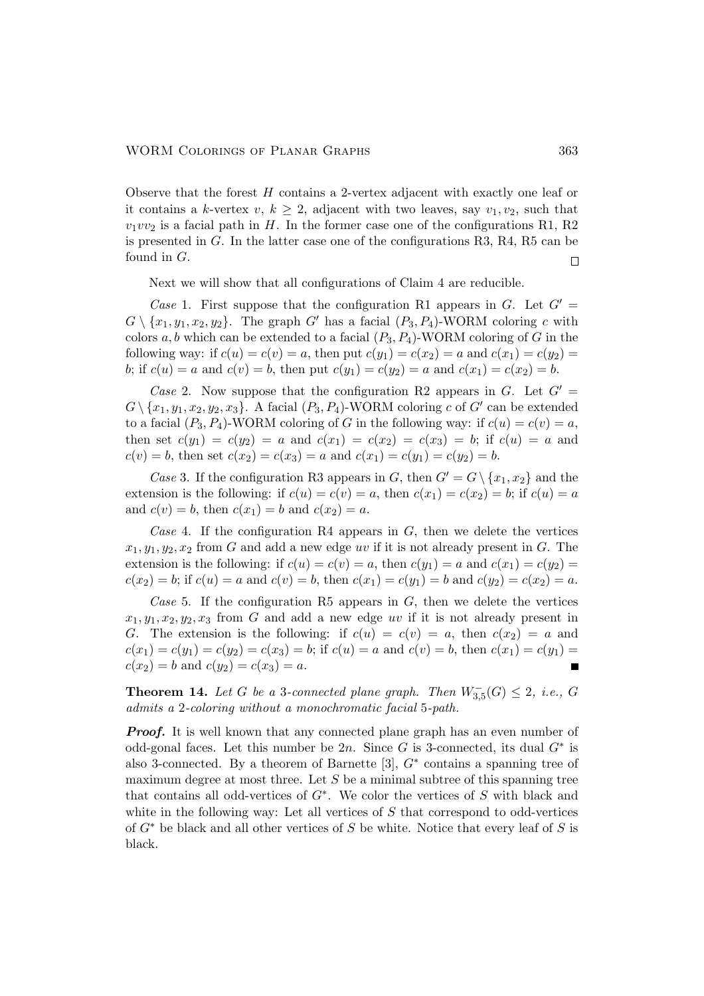Observe that the forest H contains a 2-vertex adjacent with exactly one leaf or it contains a k-vertex  $v, k \geq 2$ , adjacent with two leaves, say  $v_1, v_2$ , such that  $v_1v_2$  is a facial path in H. In the former case one of the configurations R1, R2 is presented in  $G$ . In the latter case one of the configurations R3, R4, R5 can be found in G.  $\Box$ 

Next we will show that all configurations of Claim 4 are reducible.

Case 1. First suppose that the configuration R1 appears in G. Let  $G'$  $G \setminus \{x_1, y_1, x_2, y_2\}.$  The graph  $G'$  has a facial  $(P_3, P_4)$ -WORM coloring c with colors  $a, b$  which can be extended to a facial  $(P_3, P_4)$ -WORM coloring of G in the following way: if  $c(u) = c(v) = a$ , then put  $c(y_1) = c(x_2) = a$  and  $c(x_1) = c(y_2) = a$ b; if  $c(u) = a$  and  $c(v) = b$ , then put  $c(y_1) = c(y_2) = a$  and  $c(x_1) = c(x_2) = b$ .

Case 2. Now suppose that the configuration R2 appears in G. Let  $G'$  $G \setminus \{x_1, y_1, x_2, y_2, x_3\}$ . A facial  $(P_3, P_4)$ -WORM coloring c of G' can be extended to a facial  $(P_3, P_4)$ -WORM coloring of G in the following way: if  $c(u) = c(v) = a$ , then set  $c(y_1) = c(y_2) = a$  and  $c(x_1) = c(x_2) = c(x_3) = b$ ; if  $c(u) = a$  and  $c(v) = b$ , then set  $c(x_2) = c(x_3) = a$  and  $c(x_1) = c(y_1) = c(y_2) = b$ .

Case 3. If the configuration R3 appears in G, then  $G' = G \setminus \{x_1, x_2\}$  and the extension is the following: if  $c(u) = c(v) = a$ , then  $c(x_1) = c(x_2) = b$ ; if  $c(u) = a$ and  $c(v) = b$ , then  $c(x_1) = b$  and  $c(x_2) = a$ .

Case 4. If the configuration R4 appears in  $G$ , then we delete the vertices  $x_1, y_1, y_2, x_2$  from G and add a new edge uv if it is not already present in G. The extension is the following: if  $c(u) = c(v) = a$ , then  $c(y_1) = a$  and  $c(x_1) = c(y_2) = a$  $c(x_2) = b$ ; if  $c(u) = a$  and  $c(v) = b$ , then  $c(x_1) = c(y_1) = b$  and  $c(y_2) = c(x_2) = a$ .

Case 5. If the configuration R5 appears in  $G$ , then we delete the vertices  $x_1, y_1, x_2, y_2, x_3$  from G and add a new edge uv if it is not already present in G. The extension is the following: if  $c(u) = c(v) = a$ , then  $c(x_2) = a$  and  $c(x_1) = c(y_1) = c(y_2) = c(x_3) = b$ ; if  $c(u) = a$  and  $c(v) = b$ , then  $c(x_1) = c(y_1) = c(y_2)$  $c(x_2) = b$  and  $c(y_2) = c(x_3) = a$ .

**Theorem 14.** Let G be a 3-connected plane graph. Then  $W_{3,5}^-(G) \leq 2$ , i.e., G admits a 2-coloring without a monochromatic facial 5-path.

**Proof.** It is well known that any connected plane graph has an even number of odd-gonal faces. Let this number be 2n. Since G is 3-connected, its dual  $G^*$  is also 3-connected. By a theorem of Barnette [3],  $G^*$  contains a spanning tree of maximum degree at most three. Let  $S$  be a minimal subtree of this spanning tree that contains all odd-vertices of  $G^*$ . We color the vertices of S with black and white in the following way: Let all vertices of  $S$  that correspond to odd-vertices of  $G^*$  be black and all other vertices of S be white. Notice that every leaf of S is black.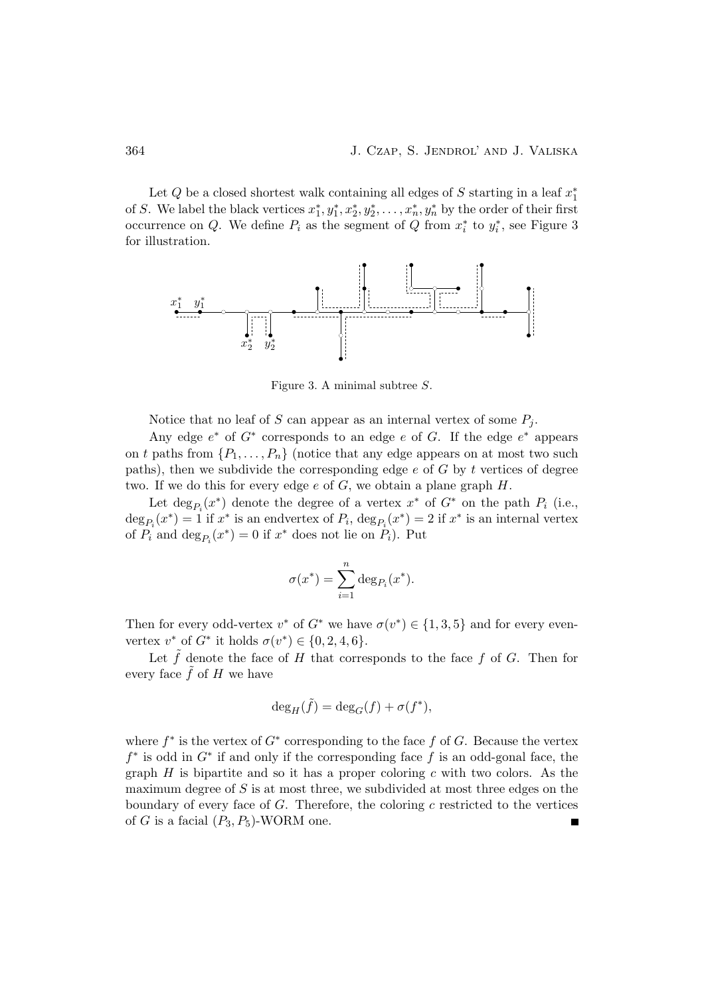Let Q be a closed shortest walk containing all edges of S starting in a leaf  $x_1^*$ 1 of S. We label the black vertices  $x_1^*$  $x_1^*, y_1^*, x_2^*, y_2^*, \ldots, x_n^*, y_n^*$  by the order of their first occurrence on Q. We define  $P_i$  as the segment of  $\overline{Q}$  from  $x_i^*$  $i^*$  to  $y_i^*$  $_i^*$ , see Figure 3 for illustration.



Figure 3. A minimal subtree S.

Notice that no leaf of S can appear as an internal vertex of some  $P_i$ .

Any edge  $e^*$  of  $G^*$  corresponds to an edge  $e$  of  $G$ . If the edge  $e^*$  appears on t paths from  $\{P_1, \ldots, P_n\}$  (notice that any edge appears on at most two such paths), then we subdivide the corresponding edge  $e$  of  $G$  by  $t$  vertices of degree two. If we do this for every edge  $e$  of  $G$ , we obtain a plane graph  $H$ .

Let  $\deg_{P_i}(x^*)$  denote the degree of a vertex  $x^*$  of  $G^*$  on the path  $P_i$  (i.e.,  $\deg_{P_i}(x^*) = 1$  if  $x^*$  is an endvertex of  $P_i$ ,  $\deg_{P_i}(x^*) = 2$  if  $x^*$  is an internal vertex of  $P_i$  and  $\deg_{P_i}(x^*) = 0$  if  $x^*$  does not lie on  $P_i$ ). Put

$$
\sigma(x^*) = \sum_{i=1}^n \deg_{P_i}(x^*).
$$

Then for every odd-vertex  $v^*$  of  $G^*$  we have  $\sigma(v^*) \in \{1,3,5\}$  and for every evenvertex  $v^*$  of  $G^*$  it holds  $\sigma(v^*) \in \{0, 2, 4, 6\}.$ 

Let  $\tilde{f}$  denote the face of H that corresponds to the face f of G. Then for every face  $f$  of  $H$  we have

$$
\deg_H(\tilde{f}) = \deg_G(f) + \sigma(f^*),
$$

where  $f^*$  is the vertex of  $G^*$  corresponding to the face  $f$  of  $G$ . Because the vertex  $f^*$  is odd in  $G^*$  if and only if the corresponding face  $\tilde{f}$  is an odd-gonal face, the graph H is bipartite and so it has a proper coloring c with two colors. As the maximum degree of  $S$  is at most three, we subdivided at most three edges on the boundary of every face of  $G$ . Therefore, the coloring  $c$  restricted to the vertices of G is a facial  $(P_3, P_5)$ -WORM one.  $\blacksquare$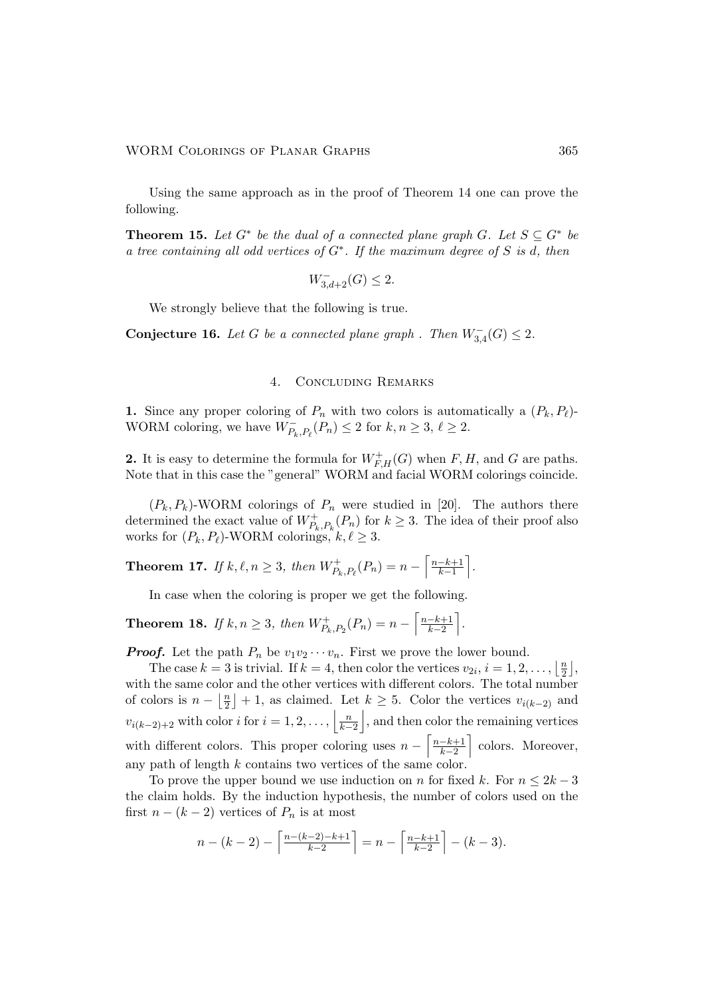Using the same approach as in the proof of Theorem 14 one can prove the following.

**Theorem 15.** Let  $G^*$  be the dual of a connected plane graph G. Let  $S \subseteq G^*$  be a tree containing all odd vertices of  $G^*$ . If the maximum degree of S is d, then

$$
W_{3,d+2}^{-}(G) \le 2.
$$

We strongly believe that the following is true.

Conjecture 16. Let G be a connected plane graph . Then  $W_{3,4}^-(G) \leq 2$ .

# 4. Concluding Remarks

1. Since any proper coloring of  $P_n$  with two colors is automatically a  $(P_k, P_\ell)$ -WORM coloring, we have  $\widetilde{W}_{P_k, P_\ell}(P_n) \leq 2$  for  $k, n \geq 3, \ell \geq 2$ .

**2.** It is easy to determine the formula for  $W_{F,H}^+(G)$  when F, H, and G are paths. Note that in this case the "general" WORM and facial WORM colorings coincide.

 $(P_k, P_k)$ -WORM colorings of  $P_n$  were studied in [20]. The authors there determined the exact value of  $W_{P_k, P_k}^+(P_n)$  for  $k \geq 3$ . The idea of their proof also works for  $(P_k, P_\ell)$ -WORM colorings,  $k, \ell \geq 3$ .

**Theorem 17.** If 
$$
k, \ell, n \geq 3
$$
, then  $W_{P_k, P_{\ell}}^+(P_n) = n - \left\lceil \frac{n-k+1}{k-1} \right\rceil$ .

In case when the coloring is proper we get the following.

**Theorem 18.** If  $k, n \geq 3$ , then  $W^+_{P_k, P_2}(P_n) = n - \left[ \frac{n-k+1}{k-2} \right]$  $\frac{-k+1}{k-2}$ .

**Proof.** Let the path  $P_n$  be  $v_1v_2\cdots v_n$ . First we prove the lower bound.

The case  $k = 3$  is trivial. If  $k = 4$ , then color the vertices  $v_{2i}, i = 1, 2, \ldots, \lfloor \frac{n}{2} \rfloor$  $\frac{n}{2}$ , with the same color and the other vertices with different colors. The total number of colors is  $n - \left\lfloor \frac{n}{2} \right\rfloor$  $\lfloor \frac{n}{2} \rfloor$  + 1, as claimed. Let  $k \ge 5$ . Color the vertices  $v_{i(k-2)}$  and  $v_{i(k-2)+2}$  with color i for  $i=1,2,\ldots, \left\lfloor \frac{n}{k-2} \right\rfloor$ , and then color the remaining vertices with different colors. This proper coloring uses  $n - \left\lceil \frac{n-k+1}{k-2} \right\rceil$  $\frac{-k+1}{k-2}$  colors. Moreover, any path of length k contains two vertices of the same color.

To prove the upper bound we use induction on n for fixed k. For  $n \leq 2k-3$ the claim holds. By the induction hypothesis, the number of colors used on the first  $n - (k - 2)$  vertices of  $P_n$  is at most

$$
n - (k - 2) - \left\lceil \frac{n - (k - 2) - k + 1}{k - 2} \right\rceil = n - \left\lceil \frac{n - k + 1}{k - 2} \right\rceil - (k - 3).
$$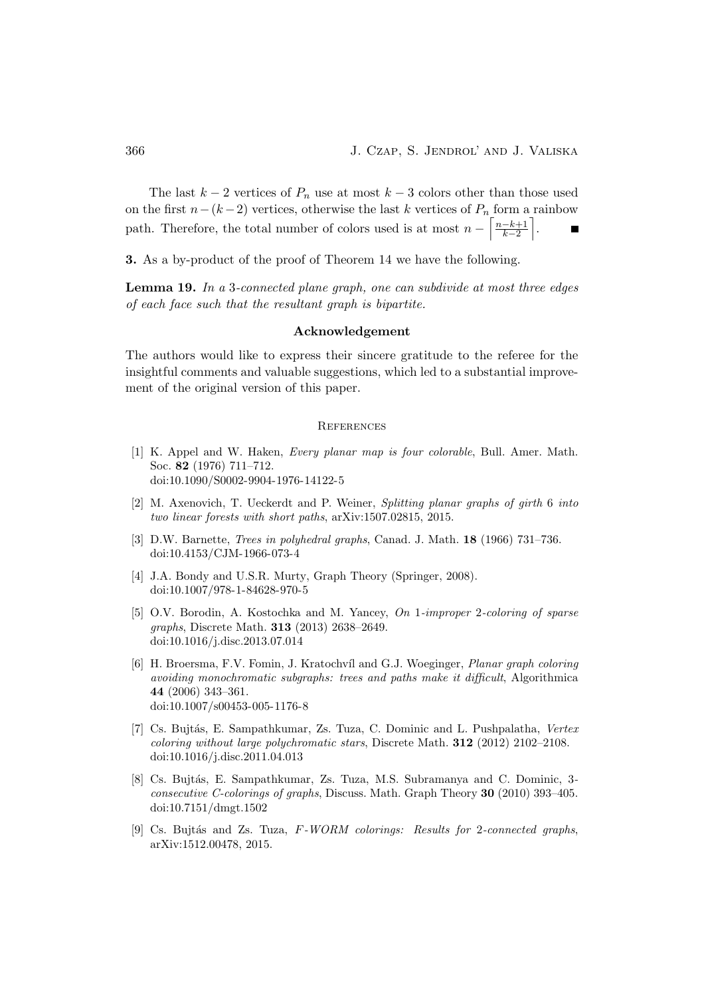The last  $k-2$  vertices of  $P_n$  use at most  $k-3$  colors other than those used on the first  $n-(k-2)$  vertices, otherwise the last k vertices of  $P_n$  form a rainbow path. Therefore, the total number of colors used is at most  $n - \left\lceil \frac{n-k+1}{k-2} \right\rceil$  $\frac{-k+1}{k-2}$ .

3. As a by-product of the proof of Theorem 14 we have the following.

Lemma 19. In a 3-connected plane graph, one can subdivide at most three edges of each face such that the resultant graph is bipartite.

# Acknowledgement

The authors would like to express their sincere gratitude to the referee for the insightful comments and valuable suggestions, which led to a substantial improvement of the original version of this paper.

#### **REFERENCES**

- [1] K. Appel and W. Haken, Every planar map is four colorable, Bull. Amer. Math. Soc. 82 (1976) 711–712. [doi:10.1090/S0002-9904-1976-14122-5](http://dx.doi.org/10.1090/S0002-9904-1976-14122-5)
- [2] M. Axenovich, T. Ueckerdt and P. Weiner, Splitting planar graphs of girth 6 into two linear forests with short paths, arXiv:1507.02815, 2015.
- [3] D.W. Barnette, Trees in polyhedral graphs, Canad. J. Math. 18 (1966) 731–736. [doi:10.4153/CJM-1966-073-4](http://dx.doi.org/10.4153/CJM-1966-073-4)
- [4] J.A. Bondy and U.S.R. Murty, Graph Theory (Springer, 2008). [doi:10.1007/978-1-84628-970-5](http://dx.doi.org/10.1007/978-1-84628-970-5)
- [5] O.V. Borodin, A. Kostochka and M. Yancey, On 1-improper 2-coloring of sparse graphs, Discrete Math. 313 (2013) 2638–2649. [doi:10.1016/j.disc.2013.07.014](http://dx.doi.org/10.1016/j.disc.2013.07.014)
- [6] H. Broersma, F.V. Fomin, J. Kratochv´ıl and G.J. Woeginger, Planar graph coloring avoiding monochromatic subgraphs: trees and paths make it difficult, Algorithmica 44 (2006) 343–361. [doi:10.1007/s00453-005-1176-8](http://dx.doi.org/10.1007/s00453-005-1176-8)
- [7] Cs. Bujtás, E. Sampathkumar, Zs. Tuza, C. Dominic and L. Pushpalatha, Vertex coloring without large polychromatic stars, Discrete Math. 312 (2012) 2102–2108. [doi:10.1016/j.disc.2011.04.013](http://dx.doi.org/10.1016/j.disc.2011.04.013)
- [8] Cs. Bujtás, E. Sampathkumar, Zs. Tuza, M.S. Subramanya and C. Dominic, 3consecutive C-colorings of graphs, Discuss. Math. Graph Theory 30 (2010) 393–405. [doi:10.7151/dmgt.1502](http://dx.doi.org/10.7151/dmgt.1502)
- [9] Cs. Bujtás and Zs. Tuza,  $F-WORM$  colorings: Results for 2-connected graphs, arXiv:1512.00478, 2015.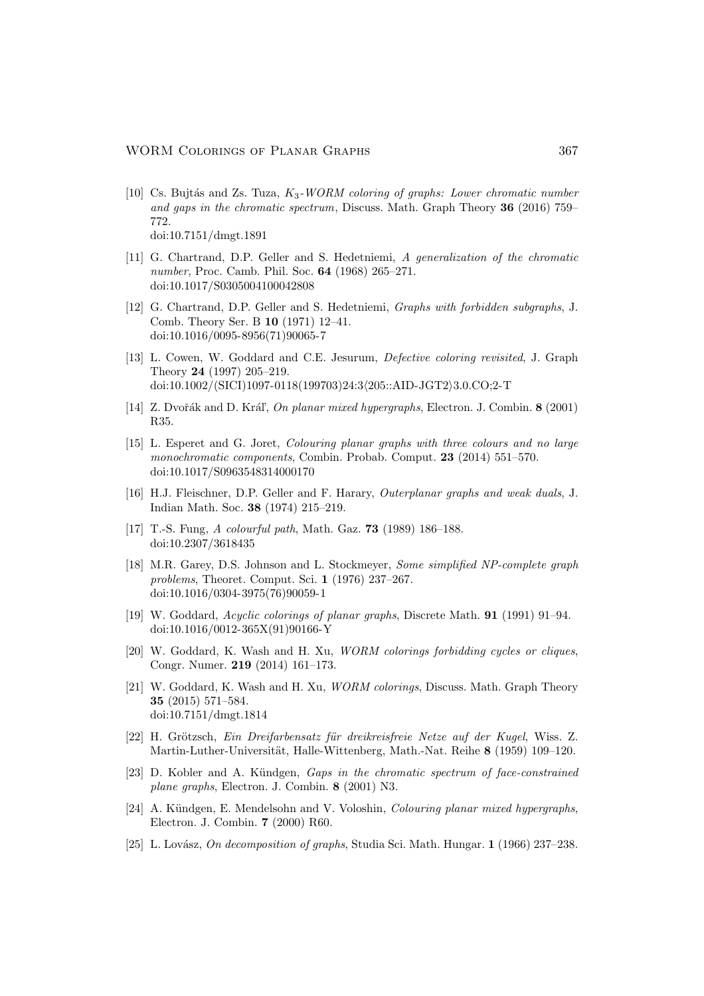- [10] Cs. Bujtás and Zs. Tuza,  $K_3$ -WORM coloring of graphs: Lower chromatic number and gaps in the chromatic spectrum, Discuss. Math. Graph Theory 36 (2016) 759– 772. [doi:10.7151/dmgt.1891](http://dx.doi.org/10.7151/dmgt.1891)
- [11] G. Chartrand, D.P. Geller and S. Hedetniemi, A generalization of the chromatic number, Proc. Camb. Phil. Soc. 64 (1968) 265–271. [doi:10.1017/S0305004100042808](http://dx.doi.org/10.1017/S0305004100042808)
- [12] G. Chartrand, D.P. Geller and S. Hedetniemi, Graphs with forbidden subgraphs, J. Comb. Theory Ser. B 10 (1971) 12–41. [doi:10.1016/0095-8956\(71\)90065-7](http://dx.doi.org/10.1016/0095-8956(71)90065-7)
- [13] L. Cowen, W. Goddard and C.E. Jesurum, Defective coloring revisited, J. Graph Theory 24 (1997) 205–219. [doi:10.1002/\(SICI\)1097-0118\(199703\)24:3](http://dx.doi.org/10.1002/(SICI)1097-0118(199703)24:3<205::AID-JGT2>3.0.CO;2-T)/205::AID-JGT2)3.0.CO;2-T
- [14] Z. Dvořák and D. Kráľ, *On planar mixed hypergraphs*, Electron. J. Combin. 8 (2001) R35.
- [15] L. Esperet and G. Joret, Colouring planar graphs with three colours and no large monochromatic components, Combin. Probab. Comput. 23 (2014) 551–570. [doi:10.1017/S0963548314000170](http://dx.doi.org/10.1017/S0963548314000170)
- [16] H.J. Fleischner, D.P. Geller and F. Harary, Outerplanar graphs and weak duals, J. Indian Math. Soc. 38 (1974) 215–219.
- [17] T.-S. Fung, A colourful path, Math. Gaz. 73 (1989) 186–188. [doi:10.2307/3618435](http://dx.doi.org/10.2307/3618435)
- [18] M.R. Garey, D.S. Johnson and L. Stockmeyer, Some simplified NP-complete graph problems, Theoret. Comput. Sci. 1 (1976) 237–267. [doi:10.1016/0304-3975\(76\)90059-1](http://dx.doi.org/10.1016/0304-3975(76)90059-1)
- [19] W. Goddard, Acyclic colorings of planar graphs, Discrete Math. 91 (1991) 91–94. [doi:10.1016/0012-365X\(91\)90166-Y](http://dx.doi.org/10.1016/0012-365X(91)90166-Y)
- [20] W. Goddard, K. Wash and H. Xu, WORM colorings forbidding cycles or cliques, Congr. Numer. 219 (2014) 161–173.
- [21] W. Goddard, K. Wash and H. Xu, WORM colorings, Discuss. Math. Graph Theory 35 (2015) 571–584. [doi:10.7151/dmgt.1814](http://dx.doi.org/10.7151/dmgt.1814)
- [22] H. Grötzsch, Ein Dreifarbensatz für dreikreisfreie Netze auf der Kugel, Wiss. Z. Martin-Luther-Universität, Halle-Wittenberg, Math.-Nat. Reihe 8 (1959) 109–120.
- [23] D. Kobler and A. Kündgen, *Gaps in the chromatic spectrum of face-constrained* plane graphs, Electron. J. Combin. 8 (2001) N3.
- [24] A. Kündgen, E. Mendelsohn and V. Voloshin, *Colouring planar mixed hypergraphs*, Electron. J. Combin. 7 (2000) R60.
- [25] L. Lovász, On decomposition of graphs, Studia Sci. Math. Hungar. 1 (1966) 237–238.